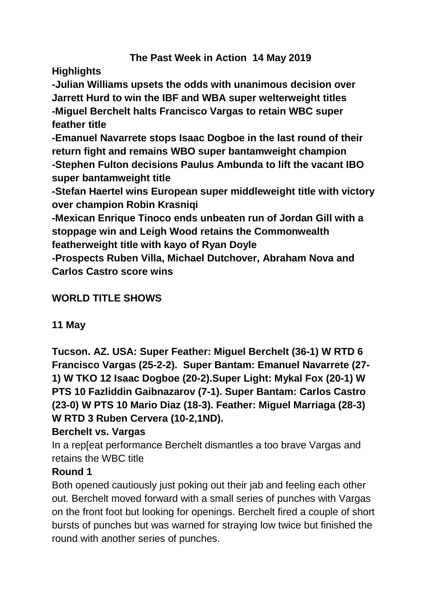## **The Past Week in Action 14 May 2019**

**Highlights**

**-Julian Williams upsets the odds with unanimous decision over Jarrett Hurd to win the IBF and WBA super welterweight titles -Miguel Berchelt halts Francisco Vargas to retain WBC super feather title**

**-Emanuel Navarrete stops Isaac Dogboe in the last round of their return fight and remains WBO super bantamweight champion -Stephen Fulton decisions Paulus Ambunda to lift the vacant IBO super bantamweight title**

**-Stefan Haertel wins European super middleweight title with victory over champion Robin Krasniqi**

**-Mexican Enrique Tinoco ends unbeaten run of Jordan Gill with a stoppage win and Leigh Wood retains the Commonwealth featherweight title with kayo of Ryan Doyle** 

**-Prospects Ruben Villa, Michael Dutchover, Abraham Nova and Carlos Castro score wins**

## **WORLD TITLE SHOWS**

### **11 May**

**Tucson. AZ. USA: Super Feather: Miguel Berchelt (36-1) W RTD 6 Francisco Vargas (25-2-2). Super Bantam: Emanuel Navarrete (27- 1) W TKO 12 Isaac Dogboe (20-2).Super Light: Mykal Fox (20-1) W PTS 10 Fazliddin Gaibnazarov (7-1). Super Bantam: Carlos Castro (23-0) W PTS 10 Mario Diaz (18-3). Feather: Miguel Marriaga (28-3) W RTD 3 Ruben Cervera (10-2,1ND).**

### **Berchelt vs. Vargas**

In a rep[eat performance Berchelt dismantles a too brave Vargas and retains the WBC title

### **Round 1**

Both opened cautiously just poking out their jab and feeling each other out. Berchelt moved forward with a small series of punches with Vargas on the front foot but looking for openings. Berchelt fired a couple of short bursts of punches but was warned for straying low twice but finished the round with another series of punches.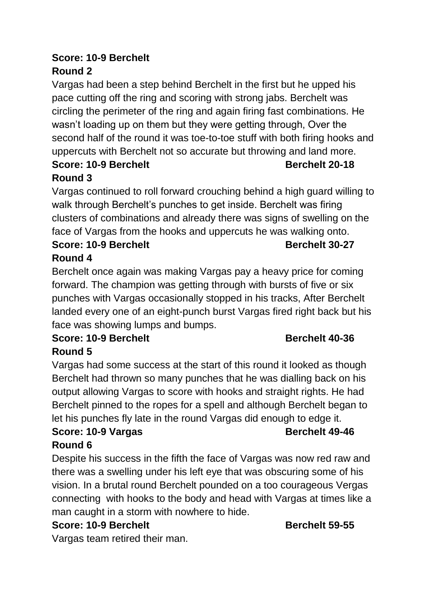# **Score: 10-9 Berchelt Round 2**

Vargas had been a step behind Berchelt in the first but he upped his pace cutting off the ring and scoring with strong jabs. Berchelt was circling the perimeter of the ring and again firing fast combinations. He wasn't loading up on them but they were getting through, Over the second half of the round it was toe-to-toe stuff with both firing hooks and uppercuts with Berchelt not so accurate but throwing and land more.

### **Score: 10-9 Berchelt Berchelt Berchelt Berchelt Berchelt Berchelt Round 3**

Vargas continued to roll forward crouching behind a high guard willing to walk through Berchelt's punches to get inside. Berchelt was firing clusters of combinations and already there was signs of swelling on the face of Vargas from the hooks and uppercuts he was walking onto.

### **Score: 10-9 Berchelt Berchelt Berchelt** 30-27 **Round 4**

Berchelt once again was making Vargas pay a heavy price for coming forward. The champion was getting through with bursts of five or six punches with Vargas occasionally stopped in his tracks, After Berchelt landed every one of an eight-punch burst Vargas fired right back but his face was showing lumps and bumps.

# **Score: 10-9 Berchelt Berchelt Berchelt Berchelt**

# **Round 5**

Vargas had some success at the start of this round it looked as though Berchelt had thrown so many punches that he was dialling back on his output allowing Vargas to score with hooks and straight rights. He had Berchelt pinned to the ropes for a spell and although Berchelt began to let his punches fly late in the round Vargas did enough to edge it.

### **Score: 10-9 Vargas Berchelt 49-46 Round 6**

Despite his success in the fifth the face of Vargas was now red raw and there was a swelling under his left eye that was obscuring some of his vision. In a brutal round Berchelt pounded on a too courageous Vergas connecting with hooks to the body and head with Vargas at times like a man caught in a storm with nowhere to hide.

# **Score: 10-9 Berchelt Berchelt Berchelt** 59-55

Vargas team retired their man.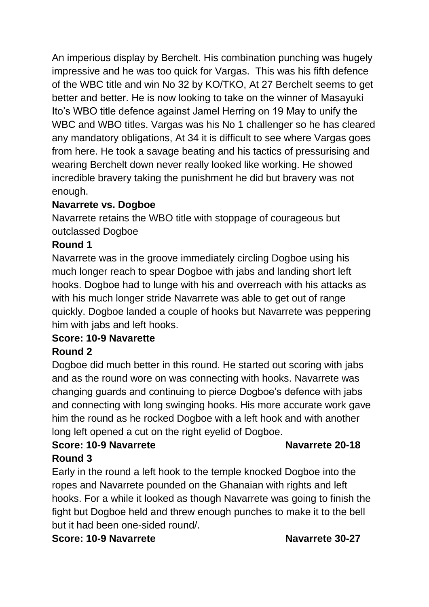An imperious display by Berchelt. His combination punching was hugely impressive and he was too quick for Vargas. This was his fifth defence of the WBC title and win No 32 by KO/TKO, At 27 Berchelt seems to get better and better. He is now looking to take on the winner of Masayuki Ito's WBO title defence against Jamel Herring on 19 May to unify the WBC and WBO titles. Vargas was his No 1 challenger so he has cleared any mandatory obligations, At 34 it is difficult to see where Vargas goes from here. He took a savage beating and his tactics of pressurising and wearing Berchelt down never really looked like working. He showed incredible bravery taking the punishment he did but bravery was not enough.

### **Navarrete vs. Dogboe**

Navarrete retains the WBO title with stoppage of courageous but outclassed Dogboe

### **Round 1**

Navarrete was in the groove immediately circling Dogboe using his much longer reach to spear Dogboe with jabs and landing short left hooks. Dogboe had to lunge with his and overreach with his attacks as with his much longer stride Navarrete was able to get out of range quickly. Dogboe landed a couple of hooks but Navarrete was peppering him with jabs and left hooks.

### **Score: 10-9 Navarette**

### **Round 2**

Dogboe did much better in this round. He started out scoring with jabs and as the round wore on was connecting with hooks. Navarrete was changing guards and continuing to pierce Dogboe's defence with jabs and connecting with long swinging hooks. His more accurate work gave him the round as he rocked Dogboe with a left hook and with another long left opened a cut on the right eyelid of Dogboe.

### **Score: 10-9 Navarrete Navarrete Navarrete** 20-18 **Round 3**

Early in the round a left hook to the temple knocked Dogboe into the ropes and Navarrete pounded on the Ghanaian with rights and left hooks. For a while it looked as though Navarrete was going to finish the fight but Dogboe held and threw enough punches to make it to the bell but it had been one-sided round/.

### **Score: 10-9 Navarrete Navarrete 30-27**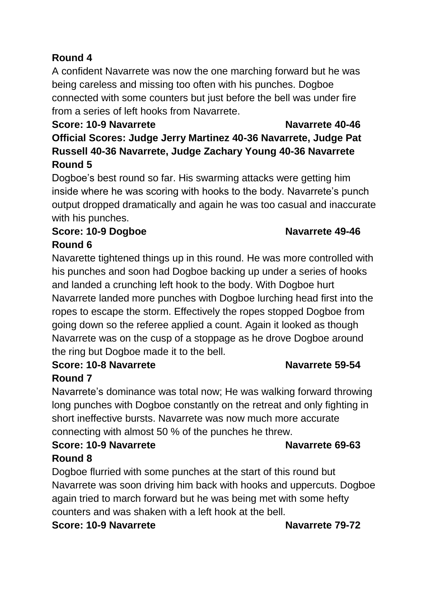# **Round 4**

A confident Navarrete was now the one marching forward but he was being careless and missing too often with his punches. Dogboe connected with some counters but just before the bell was under fire from a series of left hooks from Navarrete.

# **Score: 10-9 Navarrete Navarrete 40-46 Official Scores: Judge Jerry Martinez 40-36 Navarrete, Judge Pat Russell 40-36 Navarrete, Judge Zachary Young 40-36 Navarrete Round 5**

Dogboe's best round so far. His swarming attacks were getting him inside where he was scoring with hooks to the body. Navarrete's punch output dropped dramatically and again he was too casual and inaccurate with his punches.

### **Score: 10-9 Dogboe Navarrete 49-46 Round 6**

Navarette tightened things up in this round. He was more controlled with his punches and soon had Dogboe backing up under a series of hooks and landed a crunching left hook to the body. With Dogboe hurt Navarrete landed more punches with Dogboe lurching head first into the ropes to escape the storm. Effectively the ropes stopped Dogboe from going down so the referee applied a count. Again it looked as though Navarrete was on the cusp of a stoppage as he drove Dogboe around the ring but Dogboe made it to the bell.

### **Score: 10-8 Navarrete Navarrete 59-54 Round 7**

Navarrete's dominance was total now; He was walking forward throwing long punches with Dogboe constantly on the retreat and only fighting in short ineffective bursts. Navarrete was now much more accurate connecting with almost 50 % of the punches he threw.

### **Score: 10-9 Navarrete Navarrete 69-63 Round 8**

Dogboe flurried with some punches at the start of this round but Navarrete was soon driving him back with hooks and uppercuts. Dogboe again tried to march forward but he was being met with some hefty counters and was shaken with a left hook at the bell.

**Score: 10-9 Navarrete Navarrete 79-72**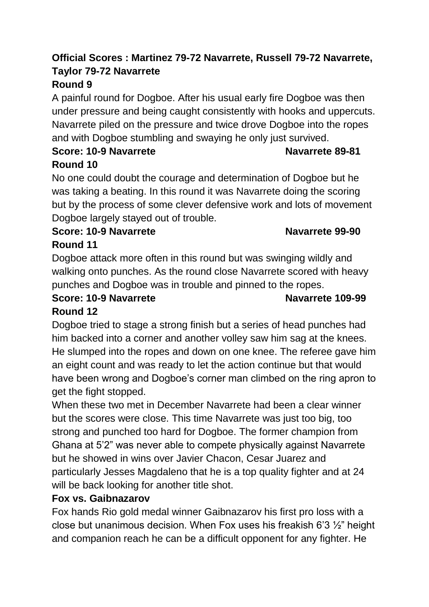# **Official Scores : Martinez 79-72 Navarrete, Russell 79-72 Navarrete, Taylor 79-72 Navarrete**

# **Round 9**

A painful round for Dogboe. After his usual early fire Dogboe was then under pressure and being caught consistently with hooks and uppercuts. Navarrete piled on the pressure and twice drove Dogboe into the ropes and with Dogboe stumbling and swaying he only just survived.

# **Score: 10-9 Navarrete Navarrete 89-81 Round 10**

No one could doubt the courage and determination of Dogboe but he was taking a beating. In this round it was Navarrete doing the scoring but by the process of some clever defensive work and lots of movement Dogboe largely stayed out of trouble.

### **Score: 10-9 Navarrete Navarrete 99-90**

## **Round 11**

Dogboe attack more often in this round but was swinging wildly and walking onto punches. As the round close Navarrete scored with heavy punches and Dogboe was in trouble and pinned to the ropes.

### **Score: 10-9 Navarrete Navarrete 109-99 Round 12**

Dogboe tried to stage a strong finish but a series of head punches had him backed into a corner and another volley saw him sag at the knees. He slumped into the ropes and down on one knee. The referee gave him an eight count and was ready to let the action continue but that would have been wrong and Dogboe's corner man climbed on the ring apron to get the fight stopped.

When these two met in December Navarrete had been a clear winner but the scores were close. This time Navarrete was just too big, too strong and punched too hard for Dogboe. The former champion from Ghana at 5'2" was never able to compete physically against Navarrete but he showed in wins over Javier Chacon, Cesar Juarez and particularly Jesses Magdaleno that he is a top quality fighter and at 24 will be back looking for another title shot.

### **Fox vs. Gaibnazarov**

Fox hands Rio gold medal winner Gaibnazarov his first pro loss with a close but unanimous decision. When Fox uses his freakish 6'3 ½" height and companion reach he can be a difficult opponent for any fighter. He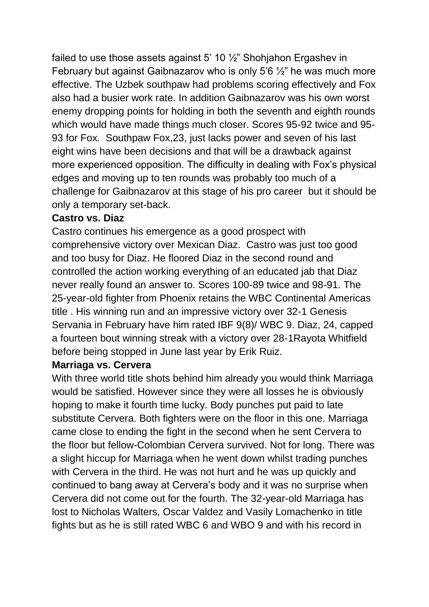failed to use those assets against 5' 10  $\frac{1}{2}$ " Shohjahon Ergashev in February but against Gaibnazarov who is only 5'6 ½" he was much more effective. The Uzbek southpaw had problems scoring effectively and Fox also had a busier work rate. In addition Gaibnazarov was his own worst enemy dropping points for holding in both the seventh and eighth rounds which would have made things much closer. Scores 95-92 twice and 95- 93 for Fox. Southpaw Fox,23, just lacks power and seven of his last eight wins have been decisions and that will be a drawback against more experienced opposition. The difficulty in dealing with Fox's physical edges and moving up to ten rounds was probably too much of a challenge for Gaibnazarov at this stage of his pro career but it should be only a temporary set-back.

### **Castro vs. Diaz**

Castro continues his emergence as a good prospect with comprehensive victory over Mexican Diaz. Castro was just too good and too busy for Diaz. He floored Diaz in the second round and controlled the action working everything of an educated jab that Diaz never really found an answer to. Scores 100-89 twice and 98-91. The 25-year-old fighter from Phoenix retains the WBC Continental Americas title . His winning run and an impressive victory over 32-1 Genesis Servania in February have him rated IBF 9(8)/ WBC 9. Diaz, 24, capped a fourteen bout winning streak with a victory over 28-1Rayota Whitfield before being stopped in June last year by Erik Ruiz.

### **Marriaga vs. Cervera**

With three world title shots behind him already you would think Marriaga would be satisfied. However since they were all losses he is obviously hoping to make it fourth time lucky. Body punches put paid to late substitute Cervera. Both fighters were on the floor in this one. Marriaga came close to ending the fight in the second when he sent Cervera to the floor but fellow-Colombian Cervera survived. Not for long. There was a slight hiccup for Marriaga when he went down whilst trading punches with Cervera in the third. He was not hurt and he was up quickly and continued to bang away at Cervera's body and it was no surprise when Cervera did not come out for the fourth. The 32-year-old Marriaga has lost to Nicholas Walters, Oscar Valdez and Vasily Lomachenko in title fights but as he is still rated WBC 6 and WBO 9 and with his record in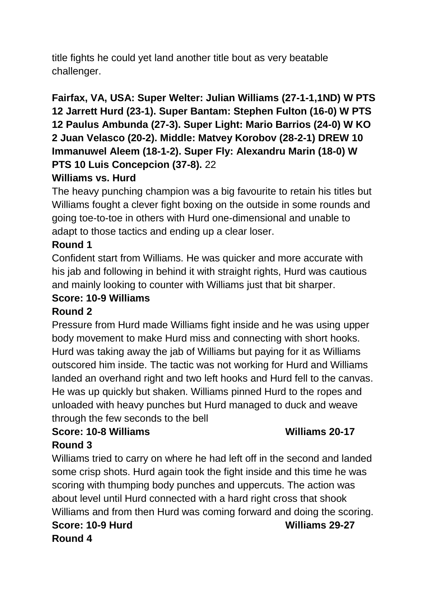title fights he could yet land another title bout as very beatable challenger.

# **Fairfax, VA, USA: Super Welter: Julian Williams (27-1-1,1ND) W PTS 12 Jarrett Hurd (23-1). Super Bantam: Stephen Fulton (16-0) W PTS 12 Paulus Ambunda (27-3). Super Light: Mario Barrios (24-0) W KO 2 Juan Velasco (20-2). Middle: Matvey Korobov (28-2-1) DREW 10 Immanuwel Aleem (18-1-2). Super Fly: Alexandru Marin (18-0) W PTS 10 Luis Concepcion (37-8).** 22

# **Williams vs. Hurd**

The heavy punching champion was a big favourite to retain his titles but Williams fought a clever fight boxing on the outside in some rounds and going toe-to-toe in others with Hurd one-dimensional and unable to adapt to those tactics and ending up a clear loser.

## **Round 1**

Confident start from Williams. He was quicker and more accurate with his jab and following in behind it with straight rights, Hurd was cautious and mainly looking to counter with Williams just that bit sharper.

# **Score: 10-9 Williams**

### **Round 2**

Pressure from Hurd made Williams fight inside and he was using upper body movement to make Hurd miss and connecting with short hooks. Hurd was taking away the jab of Williams but paying for it as Williams outscored him inside. The tactic was not working for Hurd and Williams landed an overhand right and two left hooks and Hurd fell to the canvas. He was up quickly but shaken. Williams pinned Hurd to the ropes and unloaded with heavy punches but Hurd managed to duck and weave through the few seconds to the bell

# **Score: 10-8 Williams Williams 20-17**

# **Round 3**

Williams tried to carry on where he had left off in the second and landed some crisp shots. Hurd again took the fight inside and this time he was scoring with thumping body punches and uppercuts. The action was about level until Hurd connected with a hard right cross that shook Williams and from then Hurd was coming forward and doing the scoring.

### **Score: 10-9 Hurd Williams 29-27 Round 4**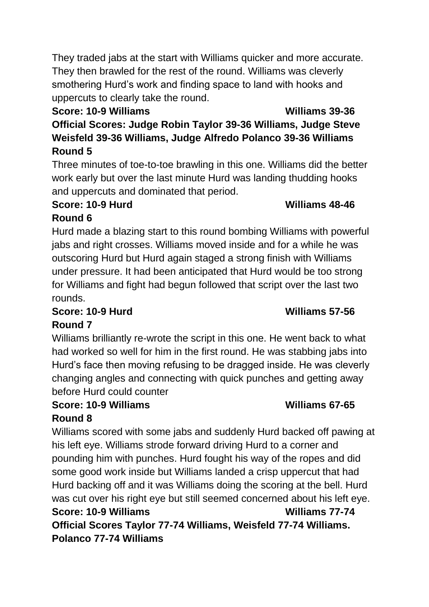They traded jabs at the start with Williams quicker and more accurate. They then brawled for the rest of the round. Williams was cleverly smothering Hurd's work and finding space to land with hooks and uppercuts to clearly take the round.

# **Score: 10-9 Williams Williams 39-36**

**Official Scores: Judge Robin Taylor 39-36 Williams, Judge Steve Weisfeld 39-36 Williams, Judge Alfredo Polanco 39-36 Williams Round 5**

Three minutes of toe-to-toe brawling in this one. Williams did the better work early but over the last minute Hurd was landing thudding hooks and uppercuts and dominated that period.

# **Score: 10-9 Hurd Williams 48-46**

# **Round 6**

Hurd made a blazing start to this round bombing Williams with powerful jabs and right crosses. Williams moved inside and for a while he was outscoring Hurd but Hurd again staged a strong finish with Williams under pressure. It had been anticipated that Hurd would be too strong for Williams and fight had begun followed that script over the last two rounds.

# **Score: 10-9 Hurd Williams 57-56**

# **Round 7**

Williams brilliantly re-wrote the script in this one. He went back to what had worked so well for him in the first round. He was stabbing jabs into Hurd's face then moving refusing to be dragged inside. He was cleverly changing angles and connecting with quick punches and getting away before Hurd could counter

# **Score: 10-9 Williams Williams 67-65 Round 8**

Williams scored with some jabs and suddenly Hurd backed off pawing at his left eye. Williams strode forward driving Hurd to a corner and pounding him with punches. Hurd fought his way of the ropes and did some good work inside but Williams landed a crisp uppercut that had Hurd backing off and it was Williams doing the scoring at the bell. Hurd was cut over his right eye but still seemed concerned about his left eye. **Score: 10-9 Williams Williams 77-74 Official Scores Taylor 77-74 Williams, Weisfeld 77-74 Williams. Polanco 77-74 Williams**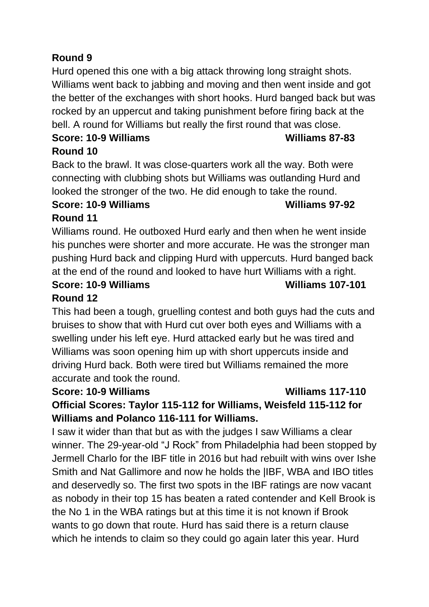# **Round 9**

Hurd opened this one with a big attack throwing long straight shots. Williams went back to jabbing and moving and then went inside and got the better of the exchanges with short hooks. Hurd banged back but was rocked by an uppercut and taking punishment before firing back at the bell. A round for Williams but really the first round that was close.

### Score: 10-9 Williams **Milliams** 87-83 **Round 10**

Back to the brawl. It was close-quarters work all the way. Both were connecting with clubbing shots but Williams was outlanding Hurd and looked the stronger of the two. He did enough to take the round.

### **Score: 10-9 Williams Williams 97-92**

# **Round 11**

Williams round. He outboxed Hurd early and then when he went inside his punches were shorter and more accurate. He was the stronger man pushing Hurd back and clipping Hurd with uppercuts. Hurd banged back at the end of the round and looked to have hurt Williams with a right.

# **Score: 10-9 Williams Williams 107-101**

# **Round 12**

This had been a tough, gruelling contest and both guys had the cuts and bruises to show that with Hurd cut over both eyes and Williams with a swelling under his left eye. Hurd attacked early but he was tired and Williams was soon opening him up with short uppercuts inside and driving Hurd back. Both were tired but Williams remained the more accurate and took the round.

### **Score: 10-9 Williams Williams 117-110**

# **Official Scores: Taylor 115-112 for Williams, Weisfeld 115-112 for Williams and Polanco 116-111 for Williams.**

I saw it wider than that but as with the judges I saw Williams a clear winner. The 29-year-old "J Rock" from Philadelphia had been stopped by Jermell Charlo for the IBF title in 2016 but had rebuilt with wins over Ishe Smith and Nat Gallimore and now he holds the |IBF, WBA and IBO titles and deservedly so. The first two spots in the IBF ratings are now vacant as nobody in their top 15 has beaten a rated contender and Kell Brook is the No 1 in the WBA ratings but at this time it is not known if Brook wants to go down that route. Hurd has said there is a return clause which he intends to claim so they could go again later this year. Hurd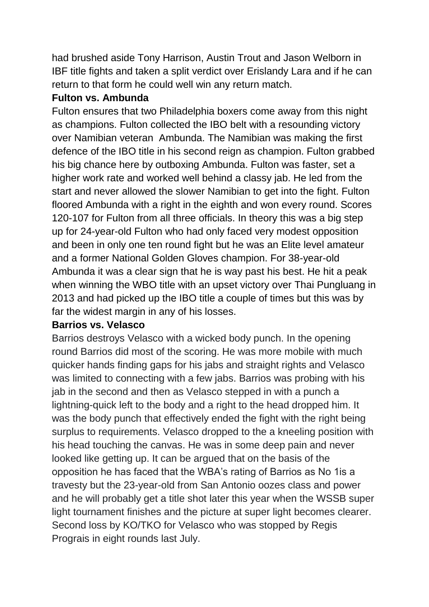had brushed aside Tony Harrison, Austin Trout and Jason Welborn in IBF title fights and taken a split verdict over Erislandy Lara and if he can return to that form he could well win any return match.

### **Fulton vs. Ambunda**

Fulton ensures that two Philadelphia boxers come away from this night as champions. Fulton collected the IBO belt with a resounding victory over Namibian veteran Ambunda. The Namibian was making the first defence of the IBO title in his second reign as champion. Fulton grabbed his big chance here by outboxing Ambunda. Fulton was faster, set a higher work rate and worked well behind a classy jab. He led from the start and never allowed the slower Namibian to get into the fight. Fulton floored Ambunda with a right in the eighth and won every round. Scores 120-107 for Fulton from all three officials. In theory this was a big step up for 24-year-old Fulton who had only faced very modest opposition and been in only one ten round fight but he was an Elite level amateur and a former National Golden Gloves champion. For 38-year-old Ambunda it was a clear sign that he is way past his best. He hit a peak when winning the WBO title with an upset victory over Thai Pungluang in 2013 and had picked up the IBO title a couple of times but this was by far the widest margin in any of his losses.

### **Barrios vs. Velasco**

Barrios destroys Velasco with a wicked body punch. In the opening round Barrios did most of the scoring. He was more mobile with much quicker hands finding gaps for his jabs and straight rights and Velasco was limited to connecting with a few jabs. Barrios was probing with his jab in the second and then as Velasco stepped in with a punch a lightning-quick left to the body and a right to the head dropped him. It was the body punch that effectively ended the fight with the right being surplus to requirements. Velasco dropped to the a kneeling position with his head touching the canvas. He was in some deep pain and never looked like getting up. It can be argued that on the basis of the opposition he has faced that the WBA's rating of Barrios as No 1is a travesty but the 23-year-old from San Antonio oozes class and power and he will probably get a title shot later this year when the WSSB super light tournament finishes and the picture at super light becomes clearer. Second loss by KO/TKO for Velasco who was stopped by Regis Prograis in eight rounds last July.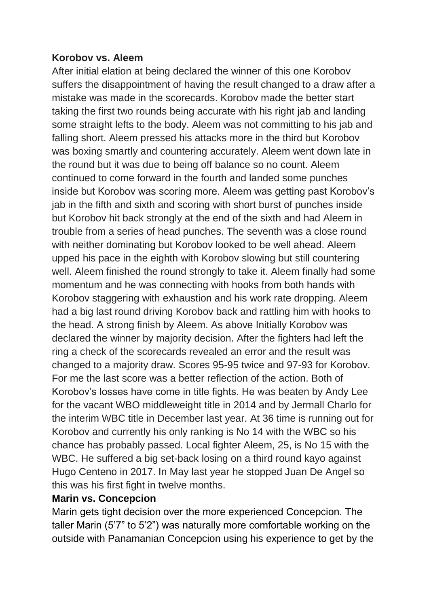### **Korobov vs. Aleem**

After initial elation at being declared the winner of this one Korobov suffers the disappointment of having the result changed to a draw after a mistake was made in the scorecards. Korobov made the better start taking the first two rounds being accurate with his right jab and landing some straight lefts to the body. Aleem was not committing to his jab and falling short. Aleem pressed his attacks more in the third but Korobov was boxing smartly and countering accurately. Aleem went down late in the round but it was due to being off balance so no count. Aleem continued to come forward in the fourth and landed some punches inside but Korobov was scoring more. Aleem was getting past Korobov's jab in the fifth and sixth and scoring with short burst of punches inside but Korobov hit back strongly at the end of the sixth and had Aleem in trouble from a series of head punches. The seventh was a close round with neither dominating but Korobov looked to be well ahead. Aleem upped his pace in the eighth with Korobov slowing but still countering well. Aleem finished the round strongly to take it. Aleem finally had some momentum and he was connecting with hooks from both hands with Korobov staggering with exhaustion and his work rate dropping. Aleem had a big last round driving Korobov back and rattling him with hooks to the head. A strong finish by Aleem. As above Initially Korobov was declared the winner by majority decision. After the fighters had left the ring a check of the scorecards revealed an error and the result was changed to a majority draw. Scores 95-95 twice and 97-93 for Korobov. For me the last score was a better reflection of the action. Both of Korobov's losses have come in title fights. He was beaten by Andy Lee for the vacant WBO middleweight title in 2014 and by Jermall Charlo for the interim WBC title in December last year. At 36 time is running out for Korobov and currently his only ranking is No 14 with the WBC so his chance has probably passed. Local fighter Aleem, 25, is No 15 with the WBC. He suffered a big set-back losing on a third round kayo against Hugo Centeno in 2017. In May last year he stopped Juan De Angel so this was his first fight in twelve months.

### **Marin vs. Concepcion**

Marin gets tight decision over the more experienced Concepcion. The taller Marin (5'7" to 5'2") was naturally more comfortable working on the outside with Panamanian Concepcion using his experience to get by the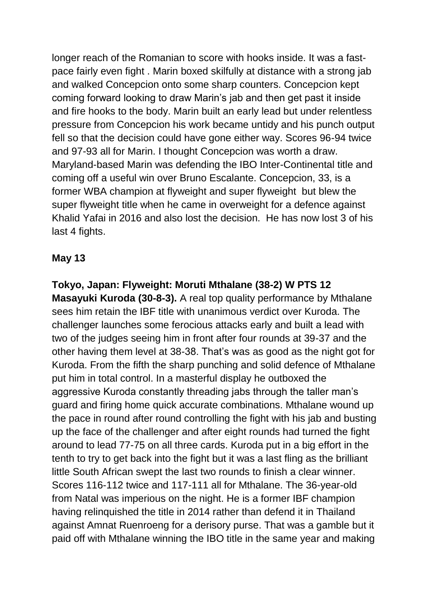longer reach of the Romanian to score with hooks inside. It was a fastpace fairly even fight . Marin boxed skilfully at distance with a strong jab and walked Concepcion onto some sharp counters. Concepcion kept coming forward looking to draw Marin's jab and then get past it inside and fire hooks to the body. Marin built an early lead but under relentless pressure from Concepcion his work became untidy and his punch output fell so that the decision could have gone either way. Scores 96-94 twice and 97-93 all for Marin. I thought Concepcion was worth a draw. Maryland-based Marin was defending the IBO Inter-Continental title and coming off a useful win over Bruno Escalante. Concepcion, 33, is a former WBA champion at flyweight and super flyweight but blew the super flyweight title when he came in overweight for a defence against Khalid Yafai in 2016 and also lost the decision. He has now lost 3 of his last 4 fights.

### **May 13**

**Tokyo, Japan: Flyweight: Moruti Mthalane (38-2) W PTS 12 Masayuki Kuroda (30-8-3).** A real top quality performance by Mthalane sees him retain the IBF title with unanimous verdict over Kuroda. The challenger launches some ferocious attacks early and built a lead with two of the judges seeing him in front after four rounds at 39-37 and the other having them level at 38-38. That's was as good as the night got for Kuroda. From the fifth the sharp punching and solid defence of Mthalane put him in total control. In a masterful display he outboxed the aggressive Kuroda constantly threading jabs through the taller man's guard and firing home quick accurate combinations. Mthalane wound up the pace in round after round controlling the fight with his jab and busting up the face of the challenger and after eight rounds had turned the fight around to lead 77-75 on all three cards. Kuroda put in a big effort in the tenth to try to get back into the fight but it was a last fling as the brilliant little South African swept the last two rounds to finish a clear winner. Scores 116-112 twice and 117-111 all for Mthalane. The 36-year-old from Natal was imperious on the night. He is a former IBF champion having relinquished the title in 2014 rather than defend it in Thailand against Amnat Ruenroeng for a derisory purse. That was a gamble but it paid off with Mthalane winning the IBO title in the same year and making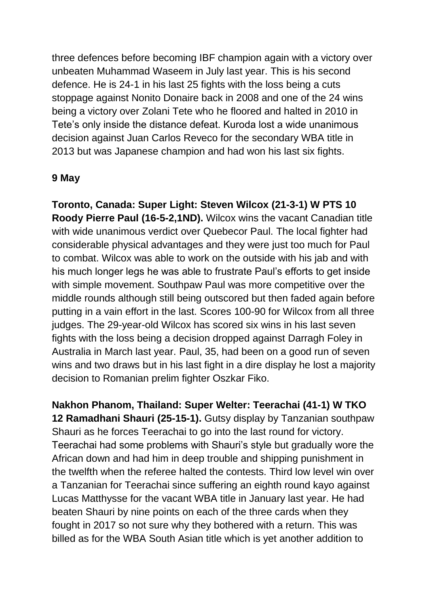three defences before becoming IBF champion again with a victory over unbeaten Muhammad Waseem in July last year. This is his second defence. He is 24-1 in his last 25 fights with the loss being a cuts stoppage against Nonito Donaire back in 2008 and one of the 24 wins being a victory over Zolani Tete who he floored and halted in 2010 in Tete's only inside the distance defeat. Kuroda lost a wide unanimous decision against Juan Carlos Reveco for the secondary WBA title in 2013 but was Japanese champion and had won his last six fights.

### **9 May**

**Toronto, Canada: Super Light: Steven Wilcox (21-3-1) W PTS 10 Roody Pierre Paul (16-5-2,1ND).** Wilcox wins the vacant Canadian title with wide unanimous verdict over Quebecor Paul. The local fighter had considerable physical advantages and they were just too much for Paul to combat. Wilcox was able to work on the outside with his jab and with his much longer legs he was able to frustrate Paul's efforts to get inside with simple movement. Southpaw Paul was more competitive over the middle rounds although still being outscored but then faded again before putting in a vain effort in the last. Scores 100-90 for Wilcox from all three judges. The 29-year-old Wilcox has scored six wins in his last seven fights with the loss being a decision dropped against Darragh Foley in Australia in March last year. Paul, 35, had been on a good run of seven wins and two draws but in his last fight in a dire display he lost a majority decision to Romanian prelim fighter Oszkar Fiko.

**Nakhon Phanom, Thailand: Super Welter: Teerachai (41-1) W TKO 12 Ramadhani Shauri (25-15-1).** Gutsy display by Tanzanian southpaw Shauri as he forces Teerachai to go into the last round for victory. Teerachai had some problems with Shauri's style but gradually wore the African down and had him in deep trouble and shipping punishment in the twelfth when the referee halted the contests. Third low level win over a Tanzanian for Teerachai since suffering an eighth round kayo against Lucas Matthysse for the vacant WBA title in January last year. He had beaten Shauri by nine points on each of the three cards when they fought in 2017 so not sure why they bothered with a return. This was billed as for the WBA South Asian title which is yet another addition to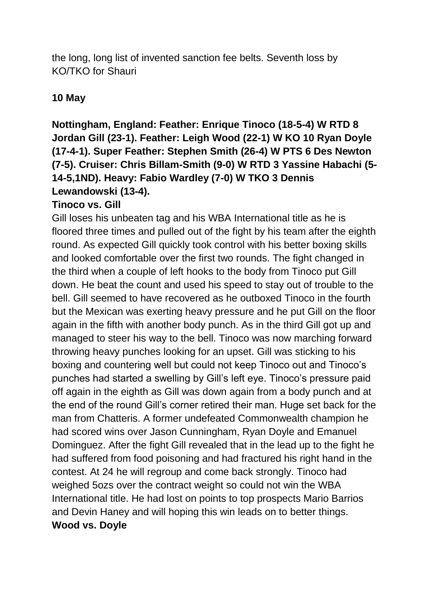the long, long list of invented sanction fee belts. Seventh loss by KO/TKO for Shauri

### **10 May**

# **Nottingham, England: Feather: Enrique Tinoco (18-5-4) W RTD 8 Jordan Gill (23-1). Feather: Leigh Wood (22-1) W KO 10 Ryan Doyle (17-4-1). Super Feather: Stephen Smith (26-4) W PTS 6 Des Newton (7-5). Cruiser: Chris Billam-Smith (9-0) W RTD 3 Yassine Habachi (5- 14-5,1ND). Heavy: Fabio Wardley (7-0) W TKO 3 Dennis Lewandowski (13-4).**

### **Tinoco vs. Gill**

Gill loses his unbeaten tag and his WBA International title as he is floored three times and pulled out of the fight by his team after the eighth round. As expected Gill quickly took control with his better boxing skills and looked comfortable over the first two rounds. The fight changed in the third when a couple of left hooks to the body from Tinoco put Gill down. He beat the count and used his speed to stay out of trouble to the bell. Gill seemed to have recovered as he outboxed Tinoco in the fourth but the Mexican was exerting heavy pressure and he put Gill on the floor again in the fifth with another body punch. As in the third Gill got up and managed to steer his way to the bell. Tinoco was now marching forward throwing heavy punches looking for an upset. Gill was sticking to his boxing and countering well but could not keep Tinoco out and Tinoco's punches had started a swelling by Gill's left eye. Tinoco's pressure paid off again in the eighth as Gill was down again from a body punch and at the end of the round Gill's corner retired their man. Huge set back for the man from Chatteris. A former undefeated Commonwealth champion he had scored wins over Jason Cunningham, Ryan Doyle and Emanuel Dominguez. After the fight Gill revealed that in the lead up to the fight he had suffered from food poisoning and had fractured his right hand in the contest. At 24 he will regroup and come back strongly. Tinoco had weighed 5ozs over the contract weight so could not win the WBA International title. He had lost on points to top prospects Mario Barrios and Devin Haney and will hoping this win leads on to better things. **Wood vs. Doyle**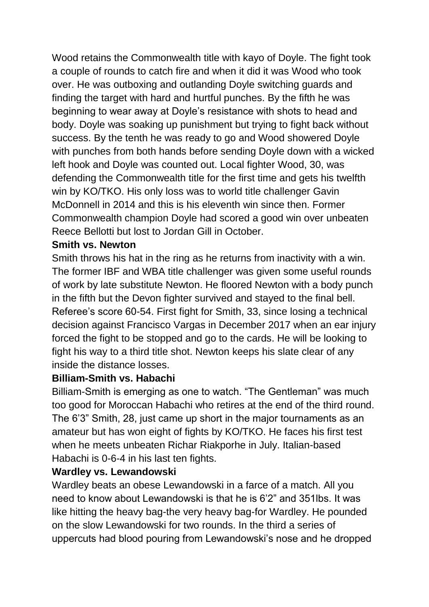Wood retains the Commonwealth title with kayo of Doyle. The fight took a couple of rounds to catch fire and when it did it was Wood who took over. He was outboxing and outlanding Doyle switching guards and finding the target with hard and hurtful punches. By the fifth he was beginning to wear away at Doyle's resistance with shots to head and body. Doyle was soaking up punishment but trying to fight back without success. By the tenth he was ready to go and Wood showered Doyle with punches from both hands before sending Doyle down with a wicked left hook and Doyle was counted out. Local fighter Wood, 30, was defending the Commonwealth title for the first time and gets his twelfth win by KO/TKO. His only loss was to world title challenger Gavin McDonnell in 2014 and this is his eleventh win since then. Former Commonwealth champion Doyle had scored a good win over unbeaten Reece Bellotti but lost to Jordan Gill in October.

### **Smith vs. Newton**

Smith throws his hat in the ring as he returns from inactivity with a win. The former IBF and WBA title challenger was given some useful rounds of work by late substitute Newton. He floored Newton with a body punch in the fifth but the Devon fighter survived and stayed to the final bell. Referee's score 60-54. First fight for Smith, 33, since losing a technical decision against Francisco Vargas in December 2017 when an ear injury forced the fight to be stopped and go to the cards. He will be looking to fight his way to a third title shot. Newton keeps his slate clear of any inside the distance losses.

### **Billiam-Smith vs. Habachi**

Billiam-Smith is emerging as one to watch. "The Gentleman" was much too good for Moroccan Habachi who retires at the end of the third round. The 6'3" Smith, 28, just came up short in the major tournaments as an amateur but has won eight of fights by KO/TKO. He faces his first test when he meets unbeaten Richar Riakporhe in July. Italian-based Habachi is 0-6-4 in his last ten fights.

### **Wardley vs. Lewandowski**

Wardley beats an obese Lewandowski in a farce of a match. All you need to know about Lewandowski is that he is 6'2" and 351lbs. It was like hitting the heavy bag-the very heavy bag-for Wardley. He pounded on the slow Lewandowski for two rounds. In the third a series of uppercuts had blood pouring from Lewandowski's nose and he dropped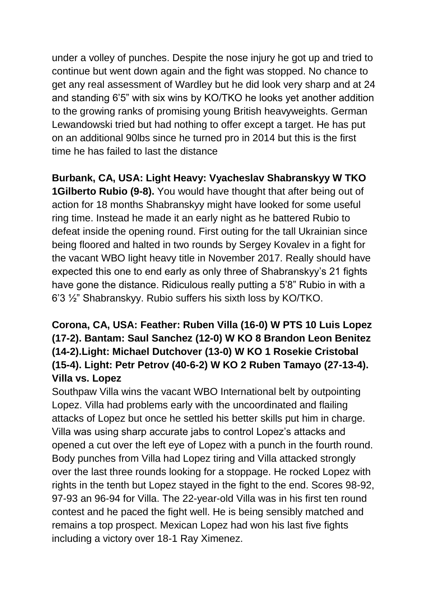under a volley of punches. Despite the nose injury he got up and tried to continue but went down again and the fight was stopped. No chance to get any real assessment of Wardley but he did look very sharp and at 24 and standing 6'5" with six wins by KO/TKO he looks yet another addition to the growing ranks of promising young British heavyweights. German Lewandowski tried but had nothing to offer except a target. He has put on an additional 90lbs since he turned pro in 2014 but this is the first time he has failed to last the distance

**Burbank, CA, USA: Light Heavy: Vyacheslav Shabranskyy W TKO 1Gilberto Rubio (9-8).** You would have thought that after being out of action for 18 months Shabranskyy might have looked for some useful ring time. Instead he made it an early night as he battered Rubio to defeat inside the opening round. First outing for the tall Ukrainian since being floored and halted in two rounds by Sergey Kovalev in a fight for the vacant WBO light heavy title in November 2017. Really should have expected this one to end early as only three of Shabranskyy's 21 fights have gone the distance. Ridiculous really putting a 5'8" Rubio in with a 6'3 ½" Shabranskyy. Rubio suffers his sixth loss by KO/TKO.

# **Corona, CA, USA: Feather: Ruben Villa (16-0) W PTS 10 Luis Lopez (17-2). Bantam: Saul Sanchez (12-0) W KO 8 Brandon Leon Benitez (14-2).Light: Michael Dutchover (13-0) W KO 1 Rosekie Cristobal (15-4). Light: Petr Petrov (40-6-2) W KO 2 Ruben Tamayo (27-13-4). Villa vs. Lopez**

Southpaw Villa wins the vacant WBO International belt by outpointing Lopez. Villa had problems early with the uncoordinated and flailing attacks of Lopez but once he settled his better skills put him in charge. Villa was using sharp accurate jabs to control Lopez's attacks and opened a cut over the left eye of Lopez with a punch in the fourth round. Body punches from Villa had Lopez tiring and Villa attacked strongly over the last three rounds looking for a stoppage. He rocked Lopez with rights in the tenth but Lopez stayed in the fight to the end. Scores 98-92, 97-93 an 96-94 for Villa. The 22-year-old Villa was in his first ten round contest and he paced the fight well. He is being sensibly matched and remains a top prospect. Mexican Lopez had won his last five fights including a victory over 18-1 Ray Ximenez.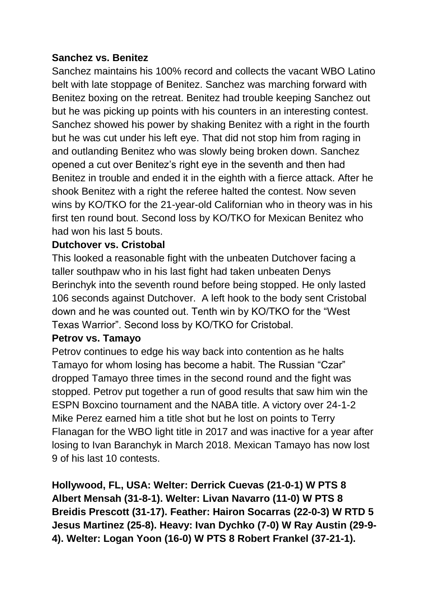### **Sanchez vs. Benitez**

Sanchez maintains his 100% record and collects the vacant WBO Latino belt with late stoppage of Benitez. Sanchez was marching forward with Benitez boxing on the retreat. Benitez had trouble keeping Sanchez out but he was picking up points with his counters in an interesting contest. Sanchez showed his power by shaking Benitez with a right in the fourth but he was cut under his left eye. That did not stop him from raging in and outlanding Benitez who was slowly being broken down. Sanchez opened a cut over Benitez's right eye in the seventh and then had Benitez in trouble and ended it in the eighth with a fierce attack. After he shook Benitez with a right the referee halted the contest. Now seven wins by KO/TKO for the 21-year-old Californian who in theory was in his first ten round bout. Second loss by KO/TKO for Mexican Benitez who had won his last 5 bouts.

### **Dutchover vs. Cristobal**

This looked a reasonable fight with the unbeaten Dutchover facing a taller southpaw who in his last fight had taken unbeaten Denys Berinchyk into the seventh round before being stopped. He only lasted 106 seconds against Dutchover. A left hook to the body sent Cristobal down and he was counted out. Tenth win by KO/TKO for the "West Texas Warrior". Second loss by KO/TKO for Cristobal.

### **Petrov vs. Tamayo**

Petrov continues to edge his way back into contention as he halts Tamayo for whom losing has become a habit. The Russian "Czar" dropped Tamayo three times in the second round and the fight was stopped. Petrov put together a run of good results that saw him win the ESPN Boxcino tournament and the NABA title. A victory over 24-1-2 Mike Perez earned him a title shot but he lost on points to Terry Flanagan for the WBO light title in 2017 and was inactive for a year after losing to Ivan Baranchyk in March 2018. Mexican Tamayo has now lost 9 of his last 10 contests.

**Hollywood, FL, USA: Welter: Derrick Cuevas (21-0-1) W PTS 8 Albert Mensah (31-8-1). Welter: Livan Navarro (11-0) W PTS 8 Breidis Prescott (31-17). Feather: Hairon Socarras (22-0-3) W RTD 5 Jesus Martinez (25-8). Heavy: Ivan Dychko (7-0) W Ray Austin (29-9- 4). Welter: Logan Yoon (16-0) W PTS 8 Robert Frankel (37-21-1).**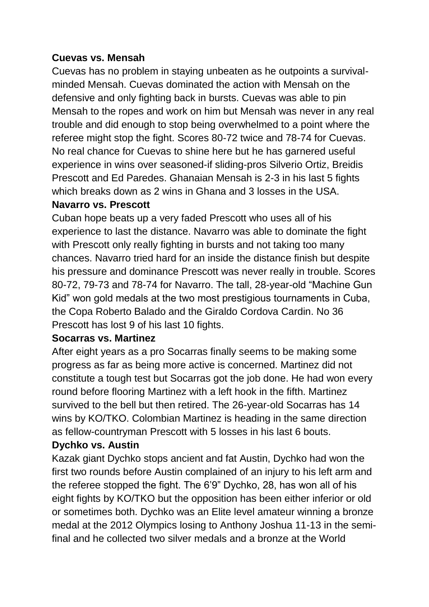### **Cuevas vs. Mensah**

Cuevas has no problem in staying unbeaten as he outpoints a survivalminded Mensah. Cuevas dominated the action with Mensah on the defensive and only fighting back in bursts. Cuevas was able to pin Mensah to the ropes and work on him but Mensah was never in any real trouble and did enough to stop being overwhelmed to a point where the referee might stop the fight. Scores 80-72 twice and 78-74 for Cuevas. No real chance for Cuevas to shine here but he has garnered useful experience in wins over seasoned-if sliding-pros Silverio Ortiz, Breidis Prescott and Ed Paredes. Ghanaian Mensah is 2-3 in his last 5 fights which breaks down as 2 wins in Ghana and 3 losses in the USA. **Navarro vs. Prescott**

# Cuban hope beats up a very faded Prescott who uses all of his experience to last the distance. Navarro was able to dominate the fight with Prescott only really fighting in bursts and not taking too many chances. Navarro tried hard for an inside the distance finish but despite his pressure and dominance Prescott was never really in trouble. Scores 80-72, 79-73 and 78-74 for Navarro. The tall, 28-year-old "Machine Gun Kid" won gold medals at the two most prestigious tournaments in Cuba, the Copa Roberto Balado and the Giraldo Cordova Cardin. No 36 Prescott has lost 9 of his last 10 fights.

### **Socarras vs. Martinez**

After eight years as a pro Socarras finally seems to be making some progress as far as being more active is concerned. Martinez did not constitute a tough test but Socarras got the job done. He had won every round before flooring Martinez with a left hook in the fifth. Martinez survived to the bell but then retired. The 26-year-old Socarras has 14 wins by KO/TKO. Colombian Martinez is heading in the same direction as fellow-countryman Prescott with 5 losses in his last 6 bouts.

### **Dychko vs. Austin**

Kazak giant Dychko stops ancient and fat Austin, Dychko had won the first two rounds before Austin complained of an injury to his left arm and the referee stopped the fight. The 6'9" Dychko, 28, has won all of his eight fights by KO/TKO but the opposition has been either inferior or old or sometimes both. Dychko was an Elite level amateur winning a bronze medal at the 2012 Olympics losing to Anthony Joshua 11-13 in the semifinal and he collected two silver medals and a bronze at the World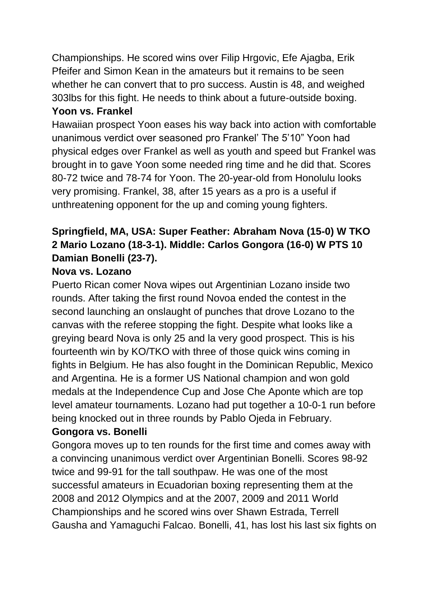Championships. He scored wins over Filip Hrgovic, Efe Ajagba, Erik Pfeifer and Simon Kean in the amateurs but it remains to be seen whether he can convert that to pro success. Austin is 48, and weighed 303lbs for this fight. He needs to think about a future-outside boxing. **Yoon vs. Frankel**

Hawaiian prospect Yoon eases his way back into action with comfortable unanimous verdict over seasoned pro Frankel' The 5'10" Yoon had physical edges over Frankel as well as youth and speed but Frankel was brought in to gave Yoon some needed ring time and he did that. Scores 80-72 twice and 78-74 for Yoon. The 20-year-old from Honolulu looks very promising. Frankel, 38, after 15 years as a pro is a useful if unthreatening opponent for the up and coming young fighters.

# **Springfield, MA, USA: Super Feather: Abraham Nova (15-0) W TKO 2 Mario Lozano (18-3-1). Middle: Carlos Gongora (16-0) W PTS 10 Damian Bonelli (23-7).**

## **Nova vs. Lozano**

Puerto Rican comer Nova wipes out Argentinian Lozano inside two rounds. After taking the first round Novoa ended the contest in the second launching an onslaught of punches that drove Lozano to the canvas with the referee stopping the fight. Despite what looks like a greying beard Nova is only 25 and la very good prospect. This is his fourteenth win by KO/TKO with three of those quick wins coming in fights in Belgium. He has also fought in the Dominican Republic, Mexico and Argentina. He is a former US National champion and won gold medals at the Independence Cup and Jose Che Aponte which are top level amateur tournaments. Lozano had put together a 10-0-1 run before being knocked out in three rounds by Pablo Ojeda in February.

### **Gongora vs. Bonelli**

Gongora moves up to ten rounds for the first time and comes away with a convincing unanimous verdict over Argentinian Bonelli. Scores 98-92 twice and 99-91 for the tall southpaw. He was one of the most successful amateurs in Ecuadorian boxing representing them at the 2008 and 2012 Olympics and at the 2007, 2009 and 2011 World Championships and he scored wins over Shawn Estrada, Terrell Gausha and Yamaguchi Falcao. Bonelli, 41, has lost his last six fights on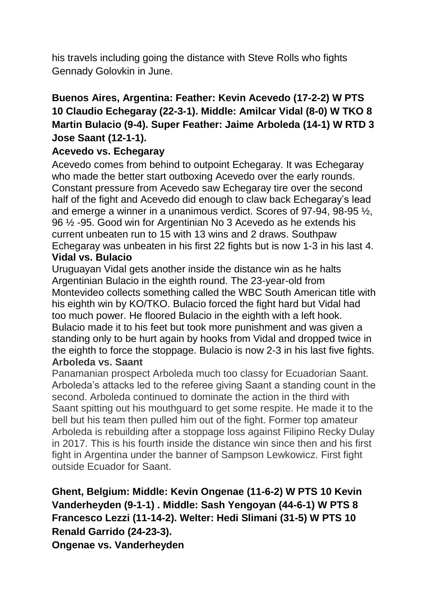his travels including going the distance with Steve Rolls who fights Gennady Golovkin in June.

# **Buenos Aires, Argentina: Feather: Kevin Acevedo (17-2-2) W PTS 10 Claudio Echegaray (22-3-1). Middle: Amilcar Vidal (8-0) W TKO 8 Martin Bulacio (9-4). Super Feather: Jaime Arboleda (14-1) W RTD 3 Jose Saant (12-1-1).**

### **Acevedo vs. Echegaray**

Acevedo comes from behind to outpoint Echegaray. It was Echegaray who made the better start outboxing Acevedo over the early rounds. Constant pressure from Acevedo saw Echegaray tire over the second half of the fight and Acevedo did enough to claw back Echegaray's lead and emerge a winner in a unanimous verdict. Scores of 97-94, 98-95 ½, 96 ½ -95. Good win for Argentinian No 3 Acevedo as he extends his current unbeaten run to 15 with 13 wins and 2 draws. Southpaw Echegaray was unbeaten in his first 22 fights but is now 1-3 in his last 4. **Vidal vs. Bulacio**

### Uruguayan Vidal gets another inside the distance win as he halts Argentinian Bulacio in the eighth round. The 23-year-old from Montevideo collects something called the WBC South American title with his eighth win by KO/TKO. Bulacio forced the fight hard but Vidal had too much power. He floored Bulacio in the eighth with a left hook. Bulacio made it to his feet but took more punishment and was given a standing only to be hurt again by hooks from Vidal and dropped twice in the eighth to force the stoppage. Bulacio is now 2-3 in his last five fights. **Arboleda vs. Saant**

Panamanian prospect Arboleda much too classy for Ecuadorian Saant. Arboleda's attacks led to the referee giving Saant a standing count in the second. Arboleda continued to dominate the action in the third with Saant spitting out his mouthguard to get some respite. He made it to the bell but his team then pulled him out of the fight. Former top amateur Arboleda is rebuilding after a stoppage loss against Filipino Recky Dulay in 2017. This is his fourth inside the distance win since then and his first fight in Argentina under the banner of Sampson Lewkowicz. First fight outside Ecuador for Saant.

## **Ghent, Belgium: Middle: Kevin Ongenae (11-6-2) W PTS 10 Kevin Vanderheyden (9-1-1) . Middle: Sash Yengoyan (44-6-1) W PTS 8 Francesco Lezzi (11-14-2). Welter: Hedi Slimani (31-5) W PTS 10 Renald Garrido (24-23-3).**

**Ongenae vs. Vanderheyden**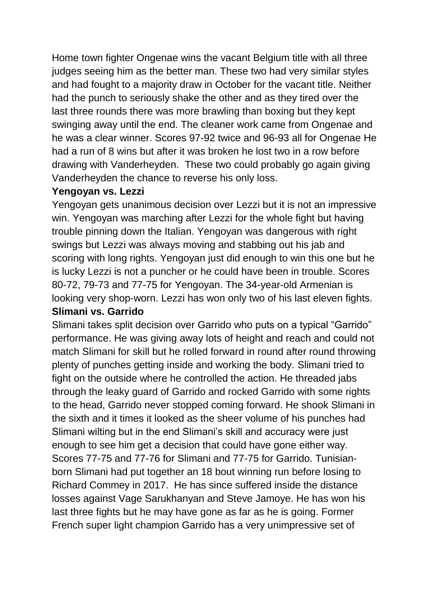Home town fighter Ongenae wins the vacant Belgium title with all three judges seeing him as the better man. These two had very similar styles and had fought to a majority draw in October for the vacant title. Neither had the punch to seriously shake the other and as they tired over the last three rounds there was more brawling than boxing but they kept swinging away until the end. The cleaner work came from Ongenae and he was a clear winner. Scores 97-92 twice and 96-93 all for Ongenae He had a run of 8 wins but after it was broken he lost two in a row before drawing with Vanderheyden. These two could probably go again giving Vanderheyden the chance to reverse his only loss.

### **Yengoyan vs. Lezzi**

Yengoyan gets unanimous decision over Lezzi but it is not an impressive win. Yengoyan was marching after Lezzi for the whole fight but having trouble pinning down the Italian. Yengoyan was dangerous with right swings but Lezzi was always moving and stabbing out his jab and scoring with long rights. Yengoyan just did enough to win this one but he is lucky Lezzi is not a puncher or he could have been in trouble. Scores 80-72, 79-73 and 77-75 for Yengoyan. The 34-year-old Armenian is looking very shop-worn. Lezzi has won only two of his last eleven fights. **Slimani vs. Garrido**

Slimani takes split decision over Garrido who puts on a typical "Garrido" performance. He was giving away lots of height and reach and could not match Slimani for skill but he rolled forward in round after round throwing plenty of punches getting inside and working the body. Slimani tried to fight on the outside where he controlled the action. He threaded jabs through the leaky guard of Garrido and rocked Garrido with some rights to the head, Garrido never stopped coming forward. He shook Slimani in the sixth and it times it looked as the sheer volume of his punches had Slimani wilting but in the end Slimani's skill and accuracy were just enough to see him get a decision that could have gone either way. Scores 77-75 and 77-76 for Slimani and 77-75 for Garrido. Tunisianborn Slimani had put together an 18 bout winning run before losing to Richard Commey in 2017. He has since suffered inside the distance losses against Vage Sarukhanyan and Steve Jamoye. He has won his last three fights but he may have gone as far as he is going. Former French super light champion Garrido has a very unimpressive set of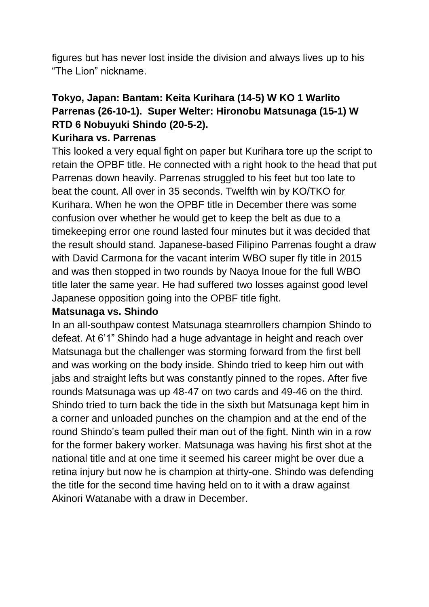figures but has never lost inside the division and always lives up to his "The Lion" nickname.

# **Tokyo, Japan: Bantam: Keita Kurihara (14-5) W KO 1 Warlito Parrenas (26-10-1). Super Welter: Hironobu Matsunaga (15-1) W RTD 6 Nobuyuki Shindo (20-5-2).**

### **Kurihara vs. Parrenas**

This looked a very equal fight on paper but Kurihara tore up the script to retain the OPBF title. He connected with a right hook to the head that put Parrenas down heavily. Parrenas struggled to his feet but too late to beat the count. All over in 35 seconds. Twelfth win by KO/TKO for Kurihara. When he won the OPBF title in December there was some confusion over whether he would get to keep the belt as due to a timekeeping error one round lasted four minutes but it was decided that the result should stand. Japanese-based Filipino Parrenas fought a draw with David Carmona for the vacant interim WBO super fly title in 2015 and was then stopped in two rounds by Naoya Inoue for the full WBO title later the same year. He had suffered two losses against good level Japanese opposition going into the OPBF title fight.

### **Matsunaga vs. Shindo**

In an all-southpaw contest Matsunaga steamrollers champion Shindo to defeat. At 6'1" Shindo had a huge advantage in height and reach over Matsunaga but the challenger was storming forward from the first bell and was working on the body inside. Shindo tried to keep him out with jabs and straight lefts but was constantly pinned to the ropes. After five rounds Matsunaga was up 48-47 on two cards and 49-46 on the third. Shindo tried to turn back the tide in the sixth but Matsunaga kept him in a corner and unloaded punches on the champion and at the end of the round Shindo's team pulled their man out of the fight. Ninth win in a row for the former bakery worker. Matsunaga was having his first shot at the national title and at one time it seemed his career might be over due a retina injury but now he is champion at thirty-one. Shindo was defending the title for the second time having held on to it with a draw against Akinori Watanabe with a draw in December.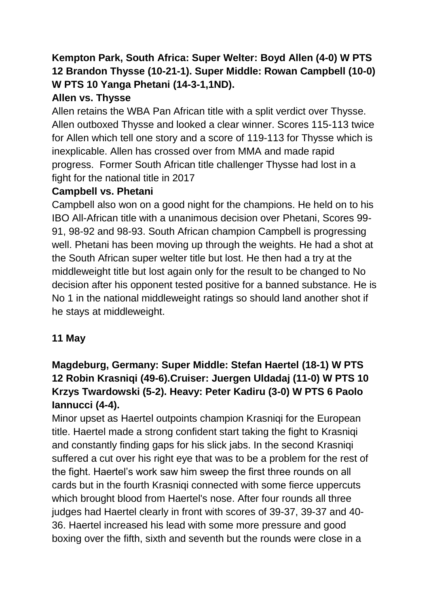# **Kempton Park, South Africa: Super Welter: Boyd Allen (4-0) W PTS 12 Brandon Thysse (10-21-1). Super Middle: Rowan Campbell (10-0) W PTS 10 Yanga Phetani (14-3-1,1ND).**

### **Allen vs. Thysse**

Allen retains the WBA Pan African title with a split verdict over Thysse. Allen outboxed Thysse and looked a clear winner. Scores 115-113 twice for Allen which tell one story and a score of 119-113 for Thysse which is inexplicable. Allen has crossed over from MMA and made rapid progress. Former South African title challenger Thysse had lost in a fight for the national title in 2017

### **Campbell vs. Phetani**

Campbell also won on a good night for the champions. He held on to his IBO All-African title with a unanimous decision over Phetani, Scores 99- 91, 98-92 and 98-93. South African champion Campbell is progressing well. Phetani has been moving up through the weights. He had a shot at the South African super welter title but lost. He then had a try at the middleweight title but lost again only for the result to be changed to No decision after his opponent tested positive for a banned substance. He is No 1 in the national middleweight ratings so should land another shot if he stays at middleweight.

### **11 May**

# **Magdeburg, Germany: Super Middle: Stefan Haertel (18-1) W PTS 12 Robin Krasniqi (49-6).Cruiser: Juergen Uldadaj (11-0) W PTS 10 Krzys Twardowski (5-2). Heavy: Peter Kadiru (3-0) W PTS 6 Paolo Iannucci (4-4).**

Minor upset as Haertel outpoints champion Krasniqi for the European title. Haertel made a strong confident start taking the fight to Krasniqi and constantly finding gaps for his slick jabs. In the second Krasniqi suffered a cut over his right eye that was to be a problem for the rest of the fight. Haertel's work saw him sweep the first three rounds on all cards but in the fourth Krasniqi connected with some fierce uppercuts which brought blood from Haertel's nose. After four rounds all three judges had Haertel clearly in front with scores of 39-37, 39-37 and 40- 36. Haertel increased his lead with some more pressure and good boxing over the fifth, sixth and seventh but the rounds were close in a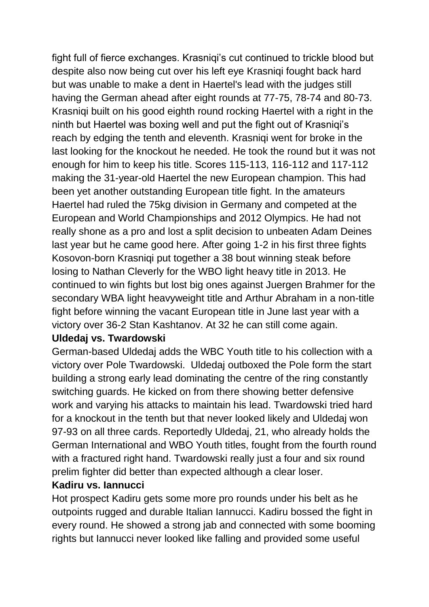fight full of fierce exchanges. Krasniqi's cut continued to trickle blood but despite also now being cut over his left eye Krasniqi fought back hard but was unable to make a dent in Haertel's lead with the judges still having the German ahead after eight rounds at 77-75, 78-74 and 80-73. Krasniqi built on his good eighth round rocking Haertel with a right in the ninth but Haertel was boxing well and put the fight out of Krasniqi's reach by edging the tenth and eleventh. Krasniqi went for broke in the last looking for the knockout he needed. He took the round but it was not enough for him to keep his title. Scores 115-113, 116-112 and 117-112 making the 31-year-old Haertel the new European champion. This had been yet another outstanding European title fight. In the amateurs Haertel had ruled the 75kg division in Germany and competed at the European and World Championships and 2012 Olympics. He had not really shone as a pro and lost a split decision to unbeaten Adam Deines last year but he came good here. After going 1-2 in his first three fights Kosovon-born Krasniqi put together a 38 bout winning steak before losing to Nathan Cleverly for the WBO light heavy title in 2013. He continued to win fights but lost big ones against Juergen Brahmer for the secondary WBA light heavyweight title and Arthur Abraham in a non-title fight before winning the vacant European title in June last year with a victory over 36-2 Stan Kashtanov. At 32 he can still come again.

### **Uldedaj vs. Twardowski**

German-based Uldedaj adds the WBC Youth title to his collection with a victory over Pole Twardowski. Uldedaj outboxed the Pole form the start building a strong early lead dominating the centre of the ring constantly switching guards. He kicked on from there showing better defensive work and varying his attacks to maintain his lead. Twardowski tried hard for a knockout in the tenth but that never looked likely and Uldedaj won 97-93 on all three cards. Reportedly Uldedaj, 21, who already holds the German International and WBO Youth titles, fought from the fourth round with a fractured right hand. Twardowski really just a four and six round prelim fighter did better than expected although a clear loser.

### **Kadiru vs. Iannucci**

Hot prospect Kadiru gets some more pro rounds under his belt as he outpoints rugged and durable Italian Iannucci. Kadiru bossed the fight in every round. He showed a strong jab and connected with some booming rights but Iannucci never looked like falling and provided some useful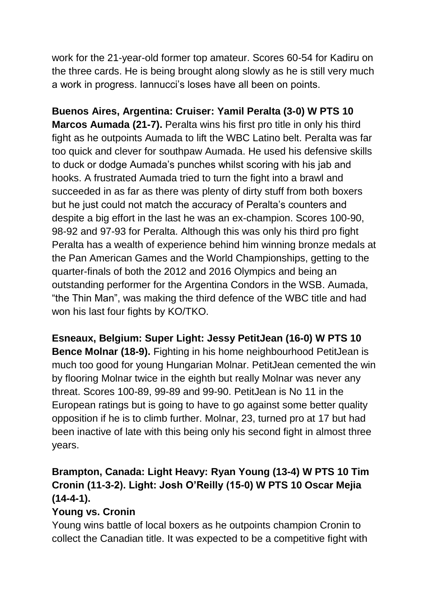work for the 21-year-old former top amateur. Scores 60-54 for Kadiru on the three cards. He is being brought along slowly as he is still very much a work in progress. Iannucci's loses have all been on points.

**Buenos Aires, Argentina: Cruiser: Yamil Peralta (3-0) W PTS 10 Marcos Aumada (21-7).** Peralta wins his first pro title in only his third fight as he outpoints Aumada to lift the WBC Latino belt. Peralta was far too quick and clever for southpaw Aumada. He used his defensive skills to duck or dodge Aumada's punches whilst scoring with his jab and hooks. A frustrated Aumada tried to turn the fight into a brawl and succeeded in as far as there was plenty of dirty stuff from both boxers but he just could not match the accuracy of Peralta's counters and despite a big effort in the last he was an ex-champion. Scores 100-90, 98-92 and 97-93 for Peralta. Although this was only his third pro fight Peralta has a wealth of experience behind him winning bronze medals at the Pan American Games and the World Championships, getting to the quarter-finals of both the 2012 and 2016 Olympics and being an outstanding performer for the Argentina Condors in the WSB. Aumada, "the Thin Man", was making the third defence of the WBC title and had won his last four fights by KO/TKO.

**Esneaux, Belgium: Super Light: Jessy PetitJean (16-0) W PTS 10 Bence Molnar (18-9).** Fighting in his home neighbourhood PetitJean is much too good for young Hungarian Molnar. PetitJean cemented the win by flooring Molnar twice in the eighth but really Molnar was never any threat. Scores 100-89, 99-89 and 99-90. PetitJean is No 11 in the European ratings but is going to have to go against some better quality opposition if he is to climb further. Molnar, 23, turned pro at 17 but had been inactive of late with this being only his second fight in almost three years.

# **Brampton, Canada: Light Heavy: Ryan Young (13-4) W PTS 10 Tim Cronin (11-3-2). Light: Josh O'Reilly (15-0) W PTS 10 Oscar Mejia (14-4-1).**

# **Young vs. Cronin**

Young wins battle of local boxers as he outpoints champion Cronin to collect the Canadian title. It was expected to be a competitive fight with